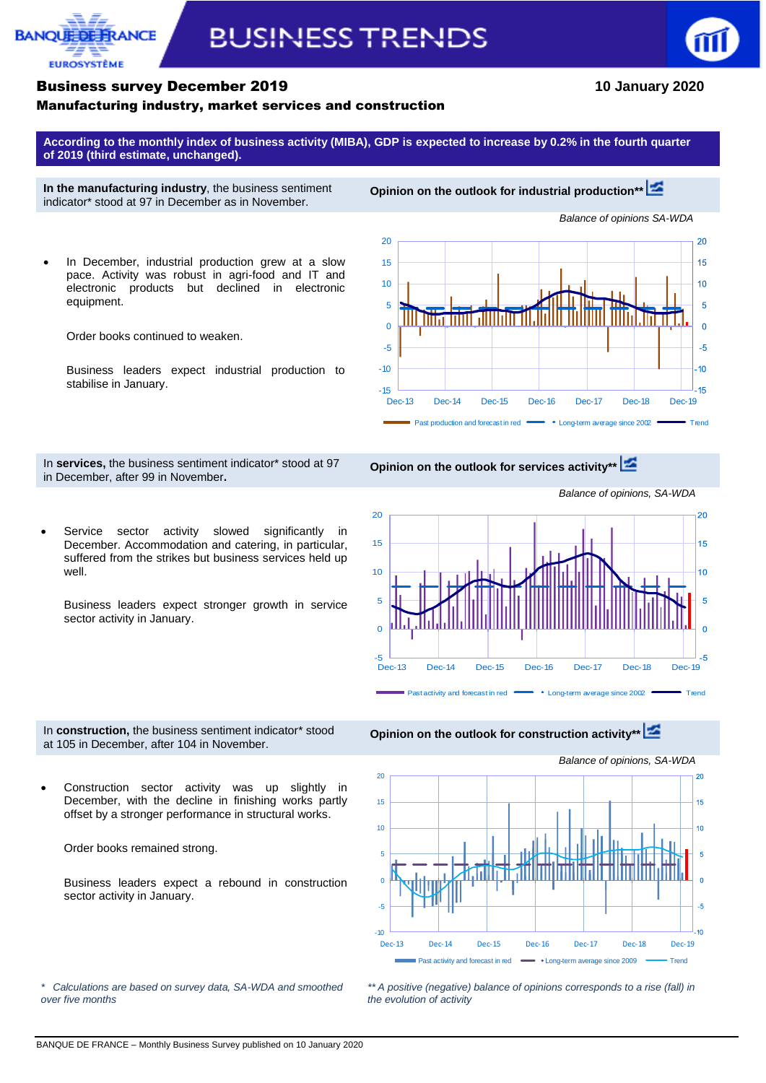## **BANOUED FUROSYSTÈME**

# **BUSINESS TRENDS**



#### Business survey December 2019 **10 January 2020**

#### Manufacturing industry, market services and construction

**According to the monthly index of business activity (MIBA), GDP is expected to increase by 0.2% in the fourth quarter of 2019 (third estimate, unchanged).**

**In the manufacturing industry**, the business sentiment indicator\* stood at 97 in December as in November.

**Opinion on the outlook for industrial production\*[\\*](http://webstat.banque-france.fr/en/publication/Conj_EMC_graph1_EN)**

 In December, industrial production grew at a slow pace. Activity was robust in agri-food and IT and electronic products but declined in electronic equipment.

Order books continued to weaken.

Business leaders expect industrial production to stabilise in January.



In **services,** the business sentiment indicator\* stood at 97 in December, after 99 in November**.**

**Opinion on the outlook for services activity\*\***

Service sector activity slowed significantly in December. Accommodation and catering, in particular, suffered from the strikes but business services held up well.

Business leaders expect stronger growth in service sector activity in January.



In **construction,** the business sentiment indicator\* stood at 105 in December, after 104 in November.



 Construction sector activity was up slightly in December, with the decline in finishing works partly offset by a stronger performance in structural works.

Order books remained strong.

Business leaders expect a rebound in construction sector activity in January.



*\*\* A positive (negative) balance of opinions corresponds to a rise (fall) in the evolution of activity*

*\* Calculations are based on survey data, SA-WDA and smoothed over five months*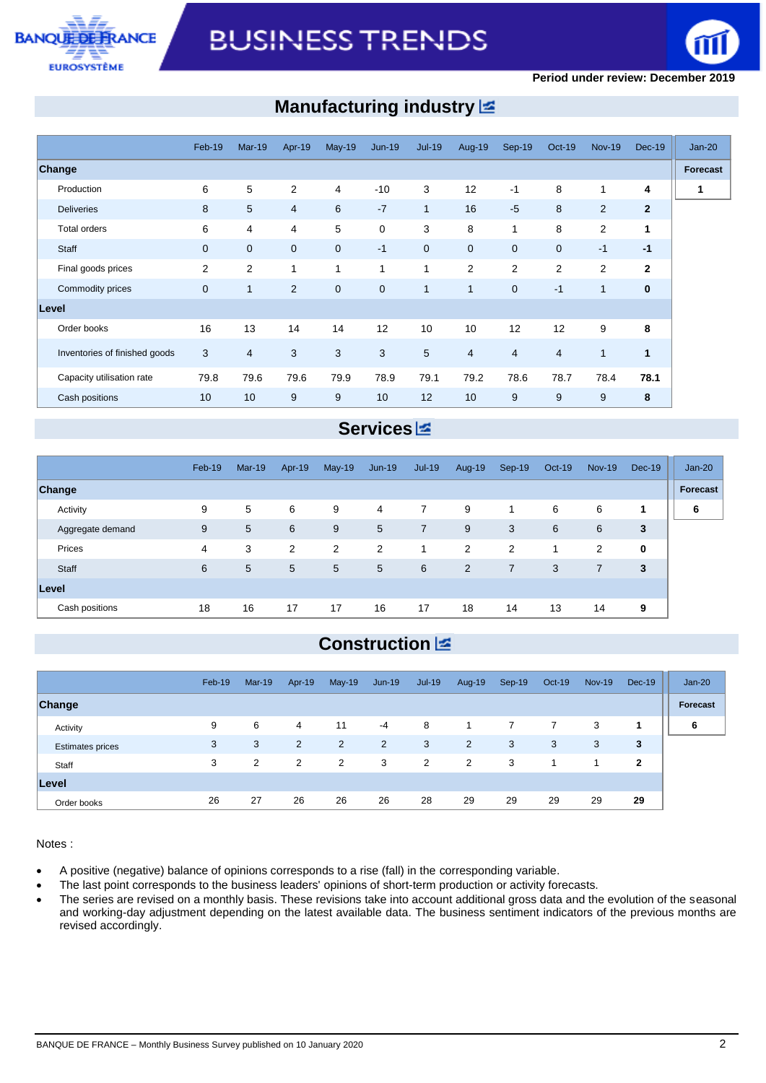



### **Manufacturing industry**

|                               | Feb-19       | <b>Mar-19</b> | Apr-19         | <b>May-19</b>  | $Jun-19$    | $Jul-19$       | Aug-19         | Sep-19         | <b>Oct-19</b>            | <b>Nov-19</b>  | <b>Dec-19</b>  | $Jan-20$ |
|-------------------------------|--------------|---------------|----------------|----------------|-------------|----------------|----------------|----------------|--------------------------|----------------|----------------|----------|
| <b>Change</b>                 |              |               |                |                |             |                |                |                |                          |                |                | Forecast |
| Production                    | 6            | 5             | 2              | $\overline{4}$ | $-10$       | 3              | 12             | $-1$           | 8                        | 1              | 4              |          |
| <b>Deliveries</b>             | 8            | 5             | $\overline{4}$ | 6              | $-7$        | $\mathbf{1}$   | 16             | $-5$           | 8                        | $\overline{2}$ | $\overline{2}$ |          |
| Total orders                  | 6            | 4             | 4              | 5              | $\mathbf 0$ | 3              | 8              | 1              | 8                        | $\overline{2}$ | 1              |          |
| Staff                         | $\mathbf{0}$ | $\mathbf{0}$  | $\overline{0}$ | $\mathbf{0}$   | $-1$        | $\overline{0}$ | $\mathbf 0$    | $\mathbf{0}$   | $\mathbf 0$              | $-1$           | $-1$           |          |
| Final goods prices            | 2            | 2             | 1              | 1              | 1           | $\mathbf{1}$   | 2              | $\overline{2}$ | 2                        | $\overline{2}$ | $\mathbf{2}$   |          |
| Commodity prices              | $\mathbf 0$  | $\mathbf{1}$  | 2              | $\mathbf{0}$   | $\mathbf 0$ | $\mathbf{1}$   | $\mathbf{1}$   | $\mathbf{0}$   | $-1$                     | $\mathbf{1}$   | $\mathbf{0}$   |          |
| Level                         |              |               |                |                |             |                |                |                |                          |                |                |          |
| Order books                   | 16           | 13            | 14             | 14             | 12          | 10             | 10             | 12             | 12                       | 9              | 8              |          |
| Inventories of finished goods | 3            | 4             | 3              | 3              | 3           | 5              | $\overline{4}$ | $\overline{4}$ | $\overline{\mathcal{A}}$ | $\mathbf{1}$   | 1              |          |
| Capacity utilisation rate     | 79.8         | 79.6          | 79.6           | 79.9           | 78.9        | 79.1           | 79.2           | 78.6           | 78.7                     | 78.4           | 78.1           |          |
| Cash positions                | 10           | 10            | 9              | 9              | 10          | 12             | 10             | 9              | 9                        | 9              | 8              |          |

#### **Services**

|                  | Feb-19 | $Mar-19$ | Apr-19 | <b>May-19</b> | $Jun-19$ | Jul-19         | Aug-19         | Sep-19         | Oct-19 | <b>Nov-19</b> | $Dec-19$    | $Jan-20$ |
|------------------|--------|----------|--------|---------------|----------|----------------|----------------|----------------|--------|---------------|-------------|----------|
| Change           |        |          |        |               |          |                |                |                |        |               |             | Forecast |
| Activity         | 9      | 5        | 6      | 9             | 4        | $\overline{7}$ | 9              | 1              | 6      | 6             | 1           | 6        |
| Aggregate demand | 9      | 5        | 6      | 9             | 5        | $\overline{7}$ | 9              | 3              | 6      | 6             | 3           |          |
| Prices           | 4      | 3        | 2      | 2             | 2        | 1              | 2              | 2              |        | 2             | $\mathbf 0$ |          |
| Staff            | 6      | 5        | 5      | 5             | 5        | 6              | $\overline{2}$ | $\overline{7}$ | 3      | 7             | 3           |          |
| Level            |        |          |        |               |          |                |                |                |        |               |             |          |
| Cash positions   | 18     | 16       | 17     | 17            | 16       | 17             | 18             | 14             | 13     | 14            | 9           |          |

### **Construction**

|                         | Feb-19 | $Mar-19$ | Apr-19         | $May-19$       | $Jun-19$       | $Jul-19$       | Aug-19 | Sep-19 | Oct-19       | <b>Nov-19</b> | <b>Dec-19</b> | $Jan-20$ |
|-------------------------|--------|----------|----------------|----------------|----------------|----------------|--------|--------|--------------|---------------|---------------|----------|
| Change                  |        |          |                |                |                |                |        |        |              |               |               | Forecast |
| Activity                | 9      | 6        | 4              | 11             | $-4$           | 8              |        |        | $\mathbf{7}$ | 3             |               | 6        |
| <b>Estimates prices</b> | 3      | 3        | $\overline{2}$ | $\overline{2}$ | $\overline{2}$ | 3              | 2      | 3      | 3            | 3             | 3             |          |
| Staff                   | 3      | 2        | 2              | 2              | 3              | $\overline{2}$ | 2      | 3      | 1            |               | $\mathbf{2}$  |          |
| Level                   |        |          |                |                |                |                |        |        |              |               |               |          |
| Order books             | 26     | 27       | 26             | 26             | 26             | 28             | 29     | 29     | 29           | 29            | 29            |          |

Notes :

- A positive (negative) balance of opinions corresponds to a rise (fall) in the corresponding variable.
- The last point corresponds to the business leaders' opinions of short-term production or activity forecasts.
- The series are revised on a monthly basis. These revisions take into account additional gross data and the evolution of the seasonal and working-day adjustment depending on the latest available data. The business sentiment indicators of the previous months are revised accordingly.